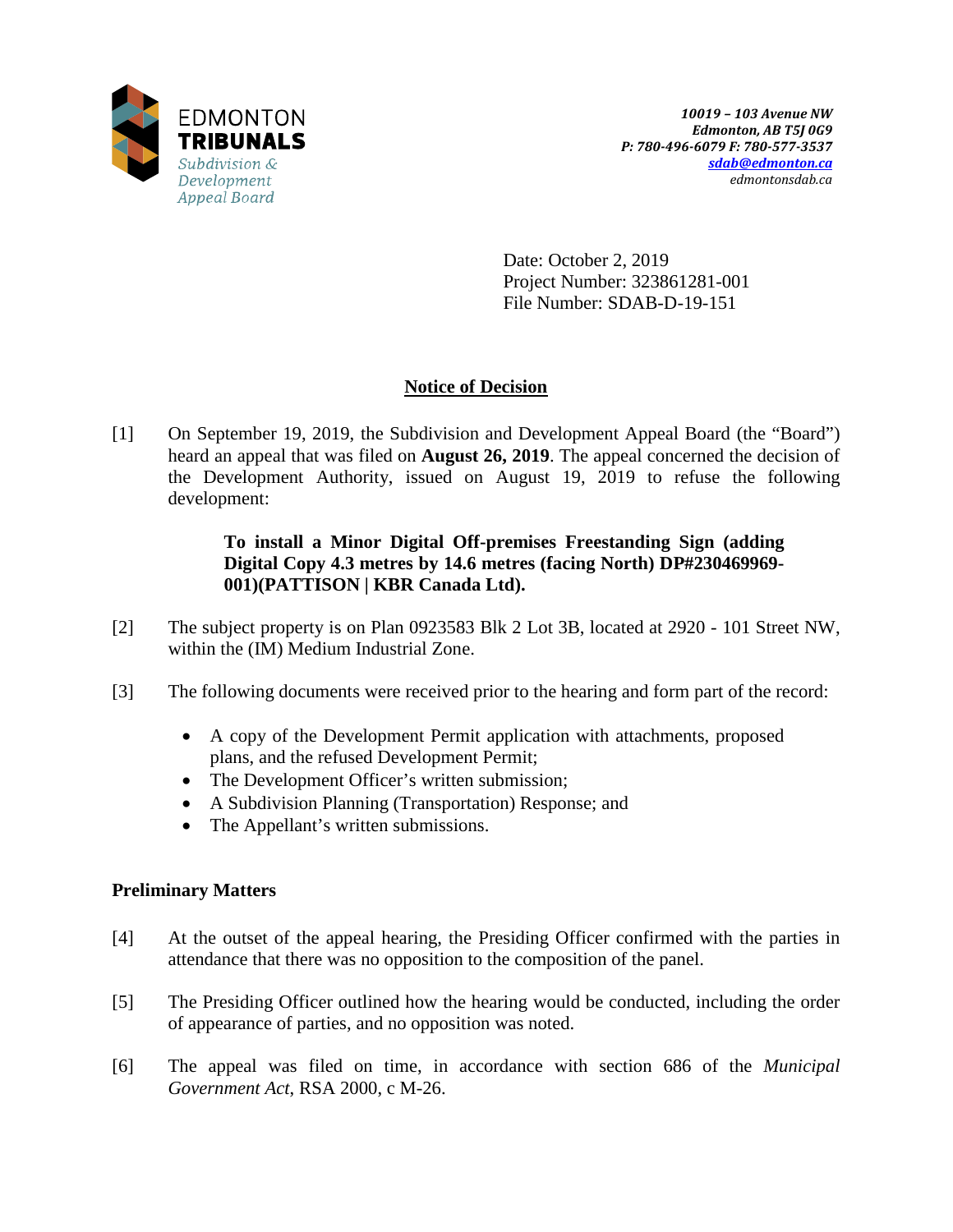

Date: October 2, 2019 Project Number: 323861281-001 File Number: SDAB-D-19-151

## **Notice of Decision**

[1] On September 19, 2019, the Subdivision and Development Appeal Board (the "Board") heard an appeal that was filed on **August 26, 2019**. The appeal concerned the decision of the Development Authority, issued on August 19, 2019 to refuse the following development:

## **To install a Minor Digital Off-premises Freestanding Sign (adding Digital Copy 4.3 metres by 14.6 metres (facing North) DP#230469969- 001)(PATTISON | KBR Canada Ltd).**

- [2] The subject property is on Plan 0923583 Blk 2 Lot 3B, located at 2920 101 Street NW, within the (IM) Medium Industrial Zone.
- [3] The following documents were received prior to the hearing and form part of the record:
	- A copy of the Development Permit application with attachments, proposed plans, and the refused Development Permit;
	- The Development Officer's written submission;
	- A Subdivision Planning (Transportation) Response; and
	- The Appellant's written submissions.

## **Preliminary Matters**

- [4] At the outset of the appeal hearing, the Presiding Officer confirmed with the parties in attendance that there was no opposition to the composition of the panel.
- [5] The Presiding Officer outlined how the hearing would be conducted, including the order of appearance of parties, and no opposition was noted.
- [6] The appeal was filed on time, in accordance with section 686 of the *Municipal Government Act*, RSA 2000, c M-26.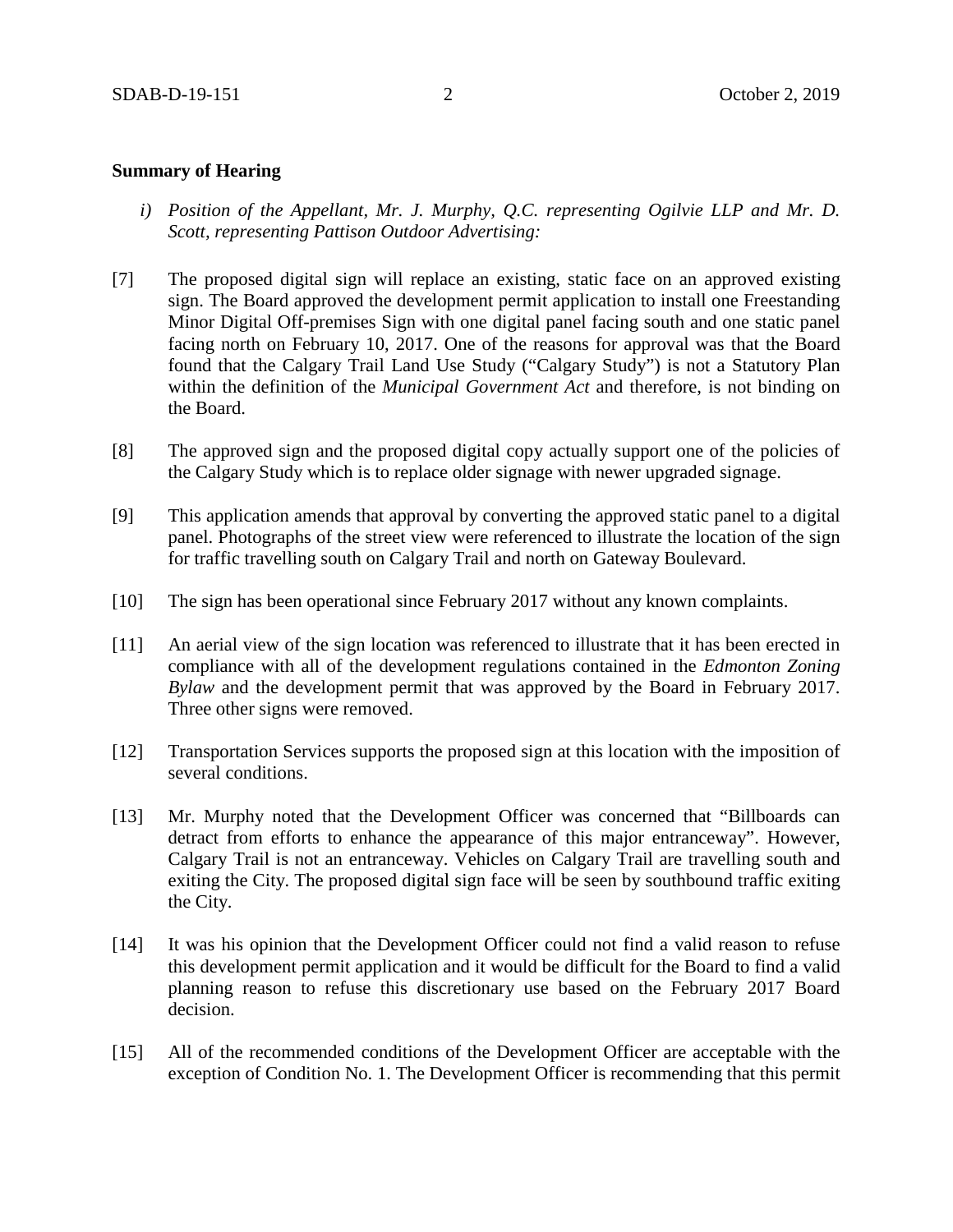#### **Summary of Hearing**

- *i) Position of the Appellant, Mr. J. Murphy, Q.C. representing Ogilvie LLP and Mr. D. Scott, representing Pattison Outdoor Advertising:*
- [7] The proposed digital sign will replace an existing, static face on an approved existing sign. The Board approved the development permit application to install one Freestanding Minor Digital Off-premises Sign with one digital panel facing south and one static panel facing north on February 10, 2017. One of the reasons for approval was that the Board found that the Calgary Trail Land Use Study ("Calgary Study") is not a Statutory Plan within the definition of the *Municipal Government Act* and therefore, is not binding on the Board.
- [8] The approved sign and the proposed digital copy actually support one of the policies of the Calgary Study which is to replace older signage with newer upgraded signage.
- [9] This application amends that approval by converting the approved static panel to a digital panel. Photographs of the street view were referenced to illustrate the location of the sign for traffic travelling south on Calgary Trail and north on Gateway Boulevard.
- [10] The sign has been operational since February 2017 without any known complaints.
- [11] An aerial view of the sign location was referenced to illustrate that it has been erected in compliance with all of the development regulations contained in the *Edmonton Zoning Bylaw* and the development permit that was approved by the Board in February 2017. Three other signs were removed.
- [12] Transportation Services supports the proposed sign at this location with the imposition of several conditions.
- [13] Mr. Murphy noted that the Development Officer was concerned that "Billboards can detract from efforts to enhance the appearance of this major entranceway". However, Calgary Trail is not an entranceway. Vehicles on Calgary Trail are travelling south and exiting the City. The proposed digital sign face will be seen by southbound traffic exiting the City.
- [14] It was his opinion that the Development Officer could not find a valid reason to refuse this development permit application and it would be difficult for the Board to find a valid planning reason to refuse this discretionary use based on the February 2017 Board decision.
- [15] All of the recommended conditions of the Development Officer are acceptable with the exception of Condition No. 1. The Development Officer is recommending that this permit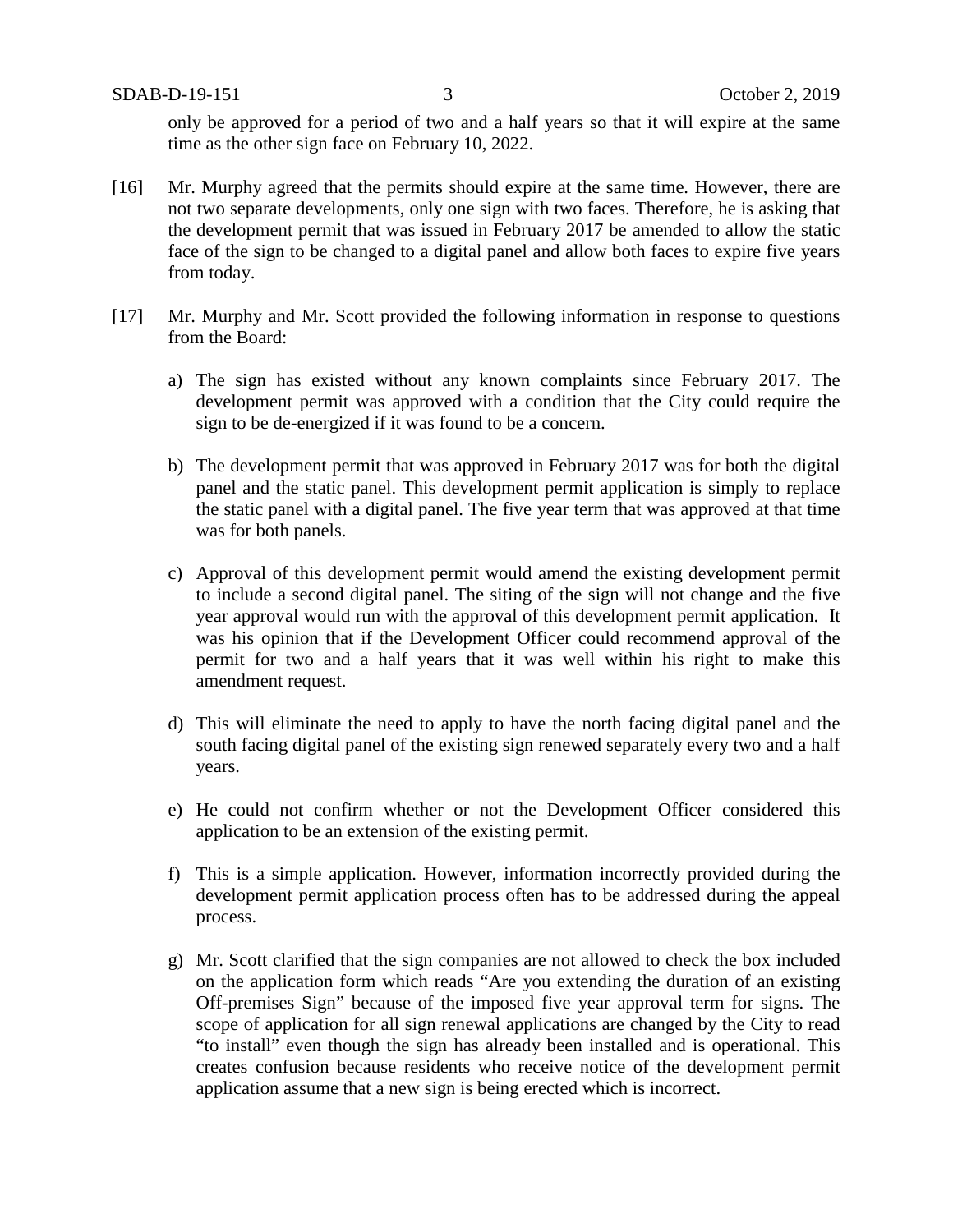SDAB-D-19-151 3 October 2, 2019

only be approved for a period of two and a half years so that it will expire at the same time as the other sign face on February 10, 2022.

- [16] Mr. Murphy agreed that the permits should expire at the same time. However, there are not two separate developments, only one sign with two faces. Therefore, he is asking that the development permit that was issued in February 2017 be amended to allow the static face of the sign to be changed to a digital panel and allow both faces to expire five years from today.
- [17] Mr. Murphy and Mr. Scott provided the following information in response to questions from the Board:
	- a) The sign has existed without any known complaints since February 2017. The development permit was approved with a condition that the City could require the sign to be de-energized if it was found to be a concern.
	- b) The development permit that was approved in February 2017 was for both the digital panel and the static panel. This development permit application is simply to replace the static panel with a digital panel. The five year term that was approved at that time was for both panels.
	- c) Approval of this development permit would amend the existing development permit to include a second digital panel. The siting of the sign will not change and the five year approval would run with the approval of this development permit application. It was his opinion that if the Development Officer could recommend approval of the permit for two and a half years that it was well within his right to make this amendment request.
	- d) This will eliminate the need to apply to have the north facing digital panel and the south facing digital panel of the existing sign renewed separately every two and a half years.
	- e) He could not confirm whether or not the Development Officer considered this application to be an extension of the existing permit.
	- f) This is a simple application. However, information incorrectly provided during the development permit application process often has to be addressed during the appeal process.
	- g) Mr. Scott clarified that the sign companies are not allowed to check the box included on the application form which reads "Are you extending the duration of an existing Off-premises Sign" because of the imposed five year approval term for signs. The scope of application for all sign renewal applications are changed by the City to read "to install" even though the sign has already been installed and is operational. This creates confusion because residents who receive notice of the development permit application assume that a new sign is being erected which is incorrect.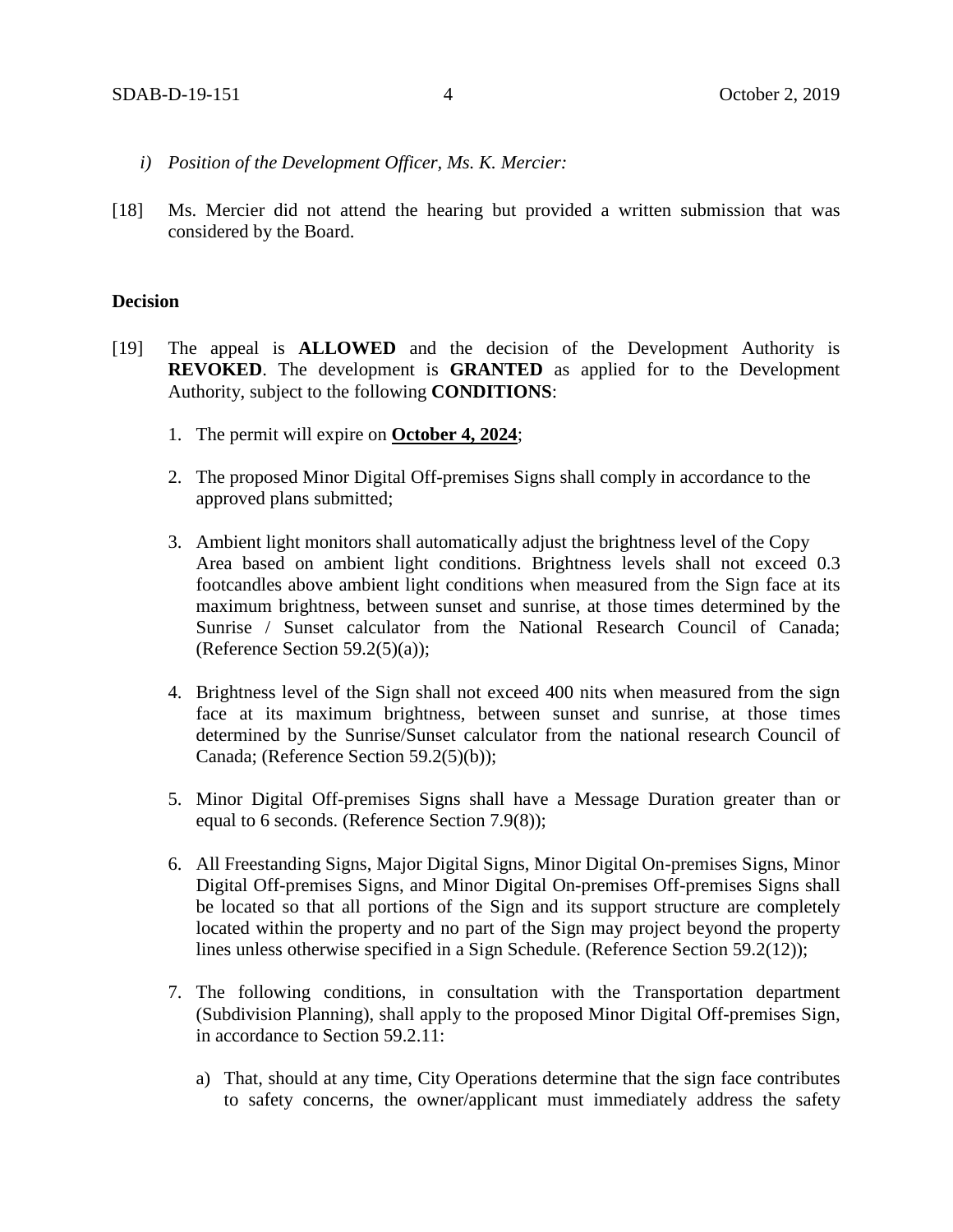- *i) Position of the Development Officer, Ms. K. Mercier:*
- [18] Ms. Mercier did not attend the hearing but provided a written submission that was considered by the Board.

#### **Decision**

- [19] The appeal is **ALLOWED** and the decision of the Development Authority is **REVOKED**. The development is **GRANTED** as applied for to the Development Authority, subject to the following **CONDITIONS**:
	- 1. The permit will expire on **October 4, 2024**;
	- 2. The proposed Minor Digital Off-premises Signs shall comply in accordance to the approved plans submitted;
	- 3. Ambient light monitors shall automatically adjust the brightness level of the Copy Area based on ambient light conditions. Brightness levels shall not exceed 0.3 footcandles above ambient light conditions when measured from the Sign face at its maximum brightness, between sunset and sunrise, at those times determined by the Sunrise / Sunset calculator from the National Research Council of Canada; (Reference Section 59.2(5)(a));
	- 4. Brightness level of the Sign shall not exceed 400 nits when measured from the sign face at its maximum brightness, between sunset and sunrise, at those times determined by the Sunrise/Sunset calculator from the national research Council of Canada; (Reference Section 59.2(5)(b));
	- 5. Minor Digital Off-premises Signs shall have a Message Duration greater than or equal to 6 seconds. (Reference Section 7.9(8));
	- 6. All Freestanding Signs, Major Digital Signs, Minor Digital On-premises Signs, Minor Digital Off-premises Signs, and Minor Digital On-premises Off-premises Signs shall be located so that all portions of the Sign and its support structure are completely located within the property and no part of the Sign may project beyond the property lines unless otherwise specified in a Sign Schedule. (Reference Section 59.2(12));
	- 7. The following conditions, in consultation with the Transportation department (Subdivision Planning), shall apply to the proposed Minor Digital Off-premises Sign, in accordance to Section 59.2.11:
		- a) That, should at any time, City Operations determine that the sign face contributes to safety concerns, the owner/applicant must immediately address the safety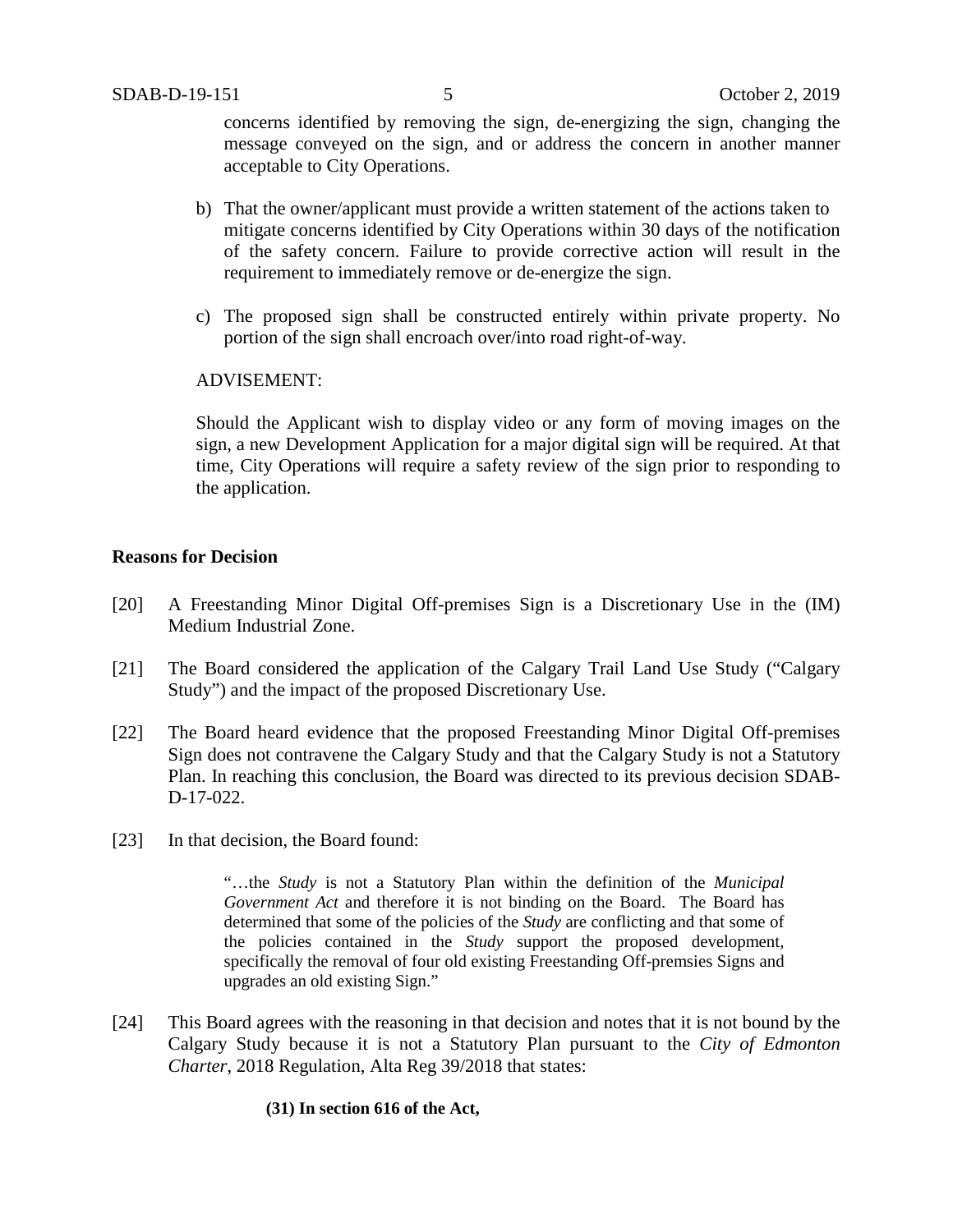concerns identified by removing the sign, de-energizing the sign, changing the message conveyed on the sign, and or address the concern in another manner acceptable to City Operations.

- b) That the owner/applicant must provide a written statement of the actions taken to mitigate concerns identified by City Operations within 30 days of the notification of the safety concern. Failure to provide corrective action will result in the requirement to immediately remove or de-energize the sign.
- c) The proposed sign shall be constructed entirely within private property. No portion of the sign shall encroach over/into road right-of-way.

### ADVISEMENT:

Should the Applicant wish to display video or any form of moving images on the sign, a new Development Application for a major digital sign will be required. At that time, City Operations will require a safety review of the sign prior to responding to the application.

#### **Reasons for Decision**

- [20] A Freestanding Minor Digital Off-premises Sign is a Discretionary Use in the (IM) Medium Industrial Zone.
- [21] The Board considered the application of the Calgary Trail Land Use Study ("Calgary Study") and the impact of the proposed Discretionary Use.
- [22] The Board heard evidence that the proposed Freestanding Minor Digital Off-premises Sign does not contravene the Calgary Study and that the Calgary Study is not a Statutory Plan. In reaching this conclusion, the Board was directed to its previous decision SDAB-D-17-022.
- [23] In that decision, the Board found:

"…the *Study* is not a Statutory Plan within the definition of the *Municipal Government Act* and therefore it is not binding on the Board. The Board has determined that some of the policies of the *Study* are conflicting and that some of the policies contained in the *Study* support the proposed development, specifically the removal of four old existing Freestanding Off-premsies Signs and upgrades an old existing Sign."

[24] This Board agrees with the reasoning in that decision and notes that it is not bound by the Calgary Study because it is not a Statutory Plan pursuant to the *City of Edmonton Charter*, 2018 Regulation, Alta Reg 39/2018 that states:

#### **(31) In section 616 of the Act,**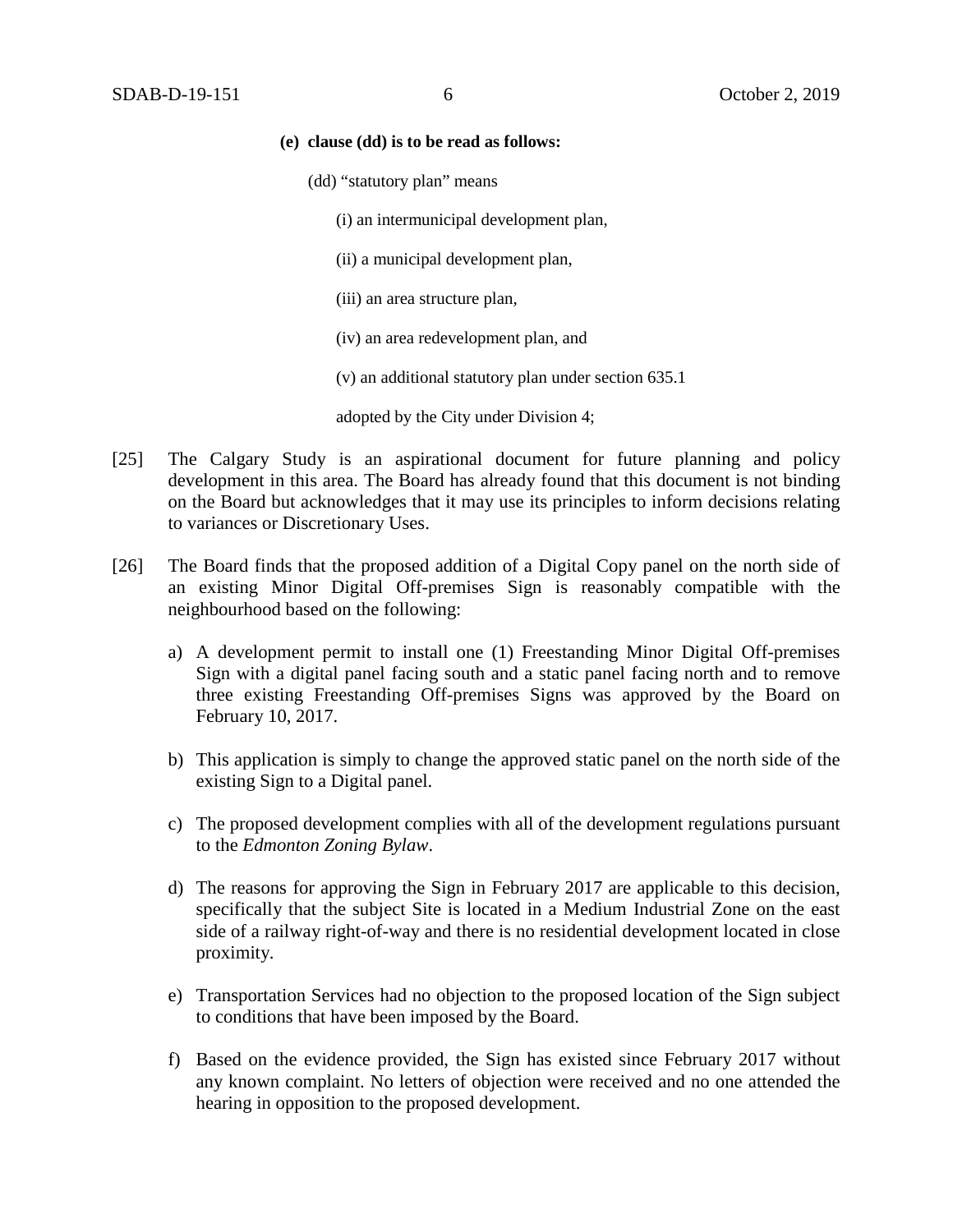#### **(e) clause (dd) is to be read as follows:**

- (dd) "statutory plan" means
	- (i) an intermunicipal development plan,
	- (ii) a municipal development plan,
	- (iii) an area structure plan,
	- (iv) an area redevelopment plan, and
	- (v) an additional statutory plan under section 635.1

adopted by the City under Division 4;

- [25] The Calgary Study is an aspirational document for future planning and policy development in this area. The Board has already found that this document is not binding on the Board but acknowledges that it may use its principles to inform decisions relating to variances or Discretionary Uses.
- [26] The Board finds that the proposed addition of a Digital Copy panel on the north side of an existing Minor Digital Off-premises Sign is reasonably compatible with the neighbourhood based on the following:
	- a) A development permit to install one (1) Freestanding Minor Digital Off-premises Sign with a digital panel facing south and a static panel facing north and to remove three existing Freestanding Off-premises Signs was approved by the Board on February 10, 2017.
	- b) This application is simply to change the approved static panel on the north side of the existing Sign to a Digital panel.
	- c) The proposed development complies with all of the development regulations pursuant to the *Edmonton Zoning Bylaw*.
	- d) The reasons for approving the Sign in February 2017 are applicable to this decision, specifically that the subject Site is located in a Medium Industrial Zone on the east side of a railway right-of-way and there is no residential development located in close proximity.
	- e) Transportation Services had no objection to the proposed location of the Sign subject to conditions that have been imposed by the Board.
	- f) Based on the evidence provided, the Sign has existed since February 2017 without any known complaint. No letters of objection were received and no one attended the hearing in opposition to the proposed development.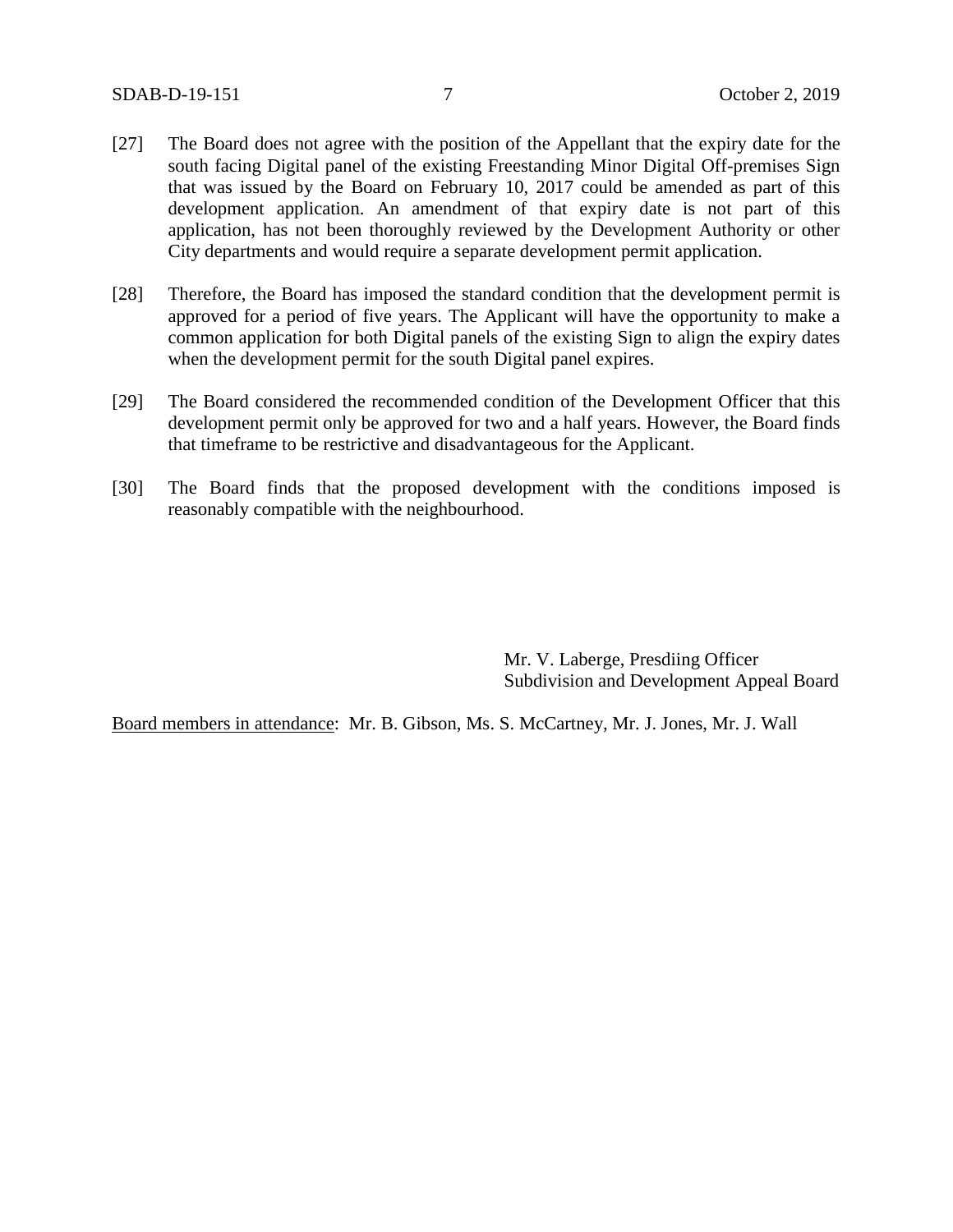- [27] The Board does not agree with the position of the Appellant that the expiry date for the south facing Digital panel of the existing Freestanding Minor Digital Off-premises Sign that was issued by the Board on February 10, 2017 could be amended as part of this development application. An amendment of that expiry date is not part of this application, has not been thoroughly reviewed by the Development Authority or other City departments and would require a separate development permit application.
- [28] Therefore, the Board has imposed the standard condition that the development permit is approved for a period of five years. The Applicant will have the opportunity to make a common application for both Digital panels of the existing Sign to align the expiry dates when the development permit for the south Digital panel expires.
- [29] The Board considered the recommended condition of the Development Officer that this development permit only be approved for two and a half years. However, the Board finds that timeframe to be restrictive and disadvantageous for the Applicant.
- [30] The Board finds that the proposed development with the conditions imposed is reasonably compatible with the neighbourhood.

Mr. V. Laberge, Presdiing Officer Subdivision and Development Appeal Board

Board members in attendance: Mr. B. Gibson, Ms. S. McCartney, Mr. J. Jones, Mr. J. Wall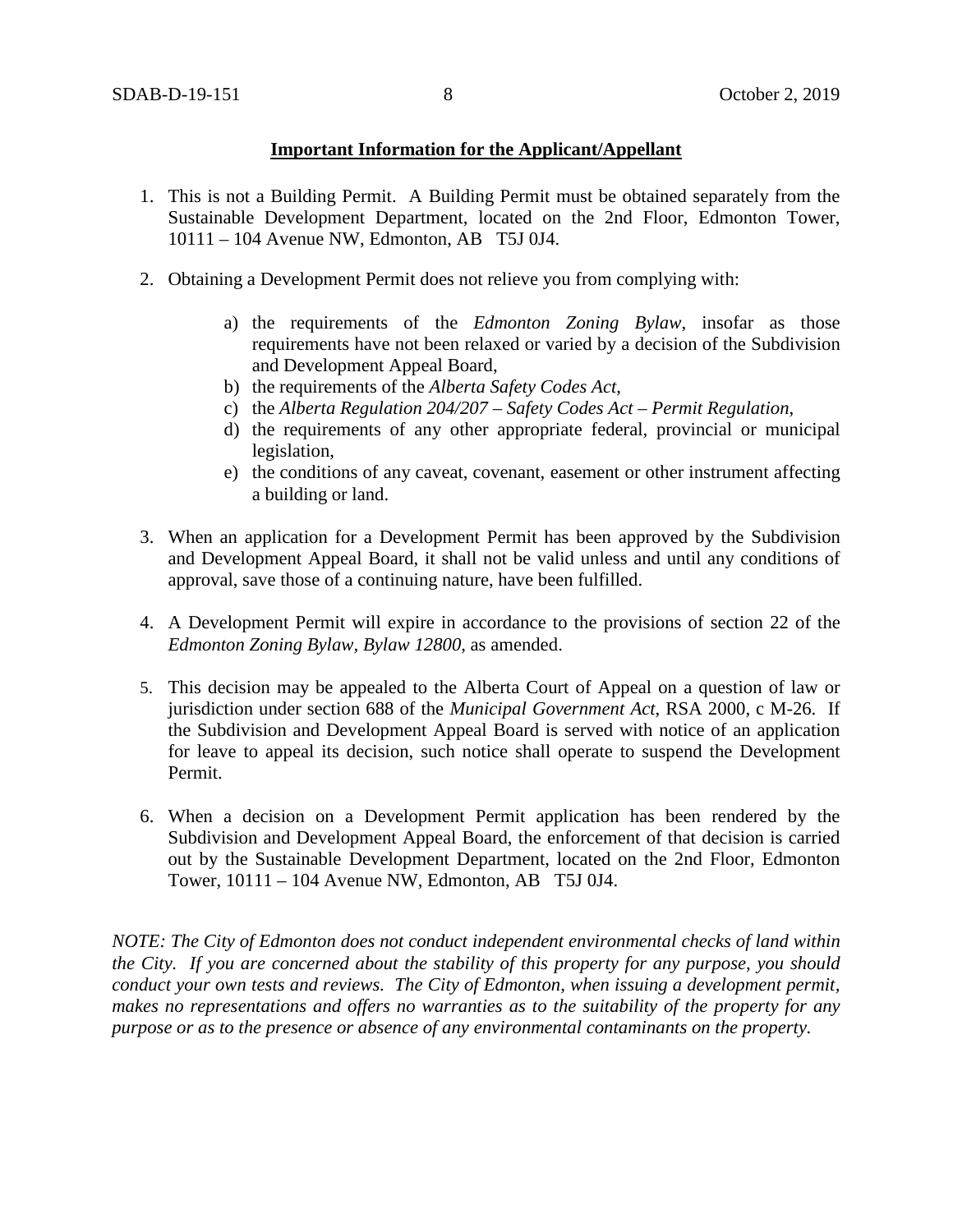### **Important Information for the Applicant/Appellant**

- 1. This is not a Building Permit. A Building Permit must be obtained separately from the Sustainable Development Department, located on the 2nd Floor, Edmonton Tower, 10111 – 104 Avenue NW, Edmonton, AB T5J 0J4.
- 2. Obtaining a Development Permit does not relieve you from complying with:
	- a) the requirements of the *Edmonton Zoning Bylaw*, insofar as those requirements have not been relaxed or varied by a decision of the Subdivision and Development Appeal Board,
	- b) the requirements of the *Alberta Safety Codes Act*,
	- c) the *Alberta Regulation 204/207 – Safety Codes Act – Permit Regulation*,
	- d) the requirements of any other appropriate federal, provincial or municipal legislation,
	- e) the conditions of any caveat, covenant, easement or other instrument affecting a building or land.
- 3. When an application for a Development Permit has been approved by the Subdivision and Development Appeal Board, it shall not be valid unless and until any conditions of approval, save those of a continuing nature, have been fulfilled.
- 4. A Development Permit will expire in accordance to the provisions of section 22 of the *Edmonton Zoning Bylaw, Bylaw 12800*, as amended.
- 5. This decision may be appealed to the Alberta Court of Appeal on a question of law or jurisdiction under section 688 of the *Municipal Government Act*, RSA 2000, c M-26. If the Subdivision and Development Appeal Board is served with notice of an application for leave to appeal its decision, such notice shall operate to suspend the Development Permit.
- 6. When a decision on a Development Permit application has been rendered by the Subdivision and Development Appeal Board, the enforcement of that decision is carried out by the Sustainable Development Department, located on the 2nd Floor, Edmonton Tower, 10111 – 104 Avenue NW, Edmonton, AB T5J 0J4.

*NOTE: The City of Edmonton does not conduct independent environmental checks of land within the City. If you are concerned about the stability of this property for any purpose, you should conduct your own tests and reviews. The City of Edmonton, when issuing a development permit, makes no representations and offers no warranties as to the suitability of the property for any purpose or as to the presence or absence of any environmental contaminants on the property.*